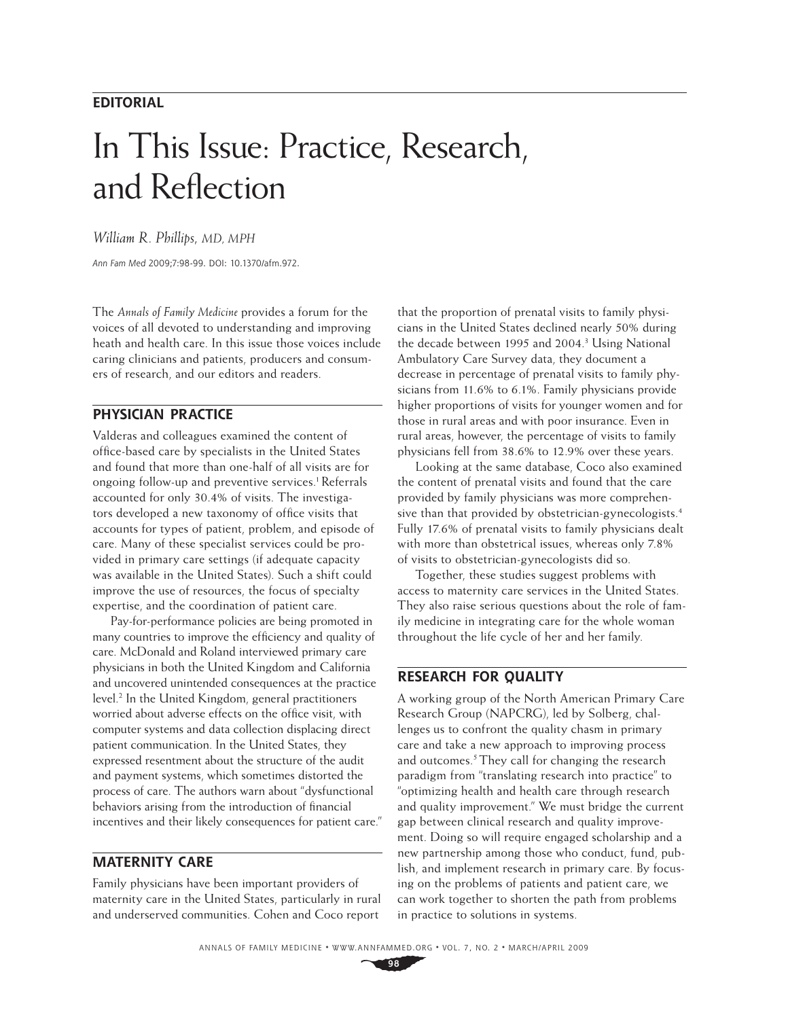## **EDITORIAL**

# In This Issue: Practice, Research, and Reflection

*William R. Phillips, MD, MPH*

Ann Fam Med 2009;7:98-99. DOI: 10.1370/afm.972.

The *Annals of Family Medicine* provides a forum for the voices of all devoted to understanding and improving heath and health care. In this issue those voices include caring clinicians and patients, producers and consumers of research, and our editors and readers.

#### **PHYSICIAN PRACTICE**

Valderas and colleagues examined the content of office-based care by specialists in the United States and found that more than one-half of all visits are for ongoing follow-up and preventive services.<sup>1</sup> Referrals accounted for only 30.4% of visits. The investigators developed a new taxonomy of office visits that accounts for types of patient, problem, and episode of care. Many of these specialist services could be provided in primary care settings (if adequate capacity was available in the United States). Such a shift could improve the use of resources, the focus of specialty expertise, and the coordination of patient care.

Pay-for-performance policies are being promoted in many countries to improve the efficiency and quality of care. McDonald and Roland interviewed primary care physicians in both the United Kingdom and California and uncovered unintended consequences at the practice level.<sup>2</sup> In the United Kingdom, general practitioners worried about adverse effects on the office visit, with computer systems and data collection displacing direct patient communication. In the United States, they expressed resentment about the structure of the audit and payment systems, which sometimes distorted the process of care. The authors warn about "dysfunctional behaviors arising from the introduction of financial incentives and their likely consequences for patient care."

### **MATERNITY CARE**

Family physicians have been important providers of maternity care in the United States, particularly in rural and underserved communities. Cohen and Coco report

that the proportion of prenatal visits to family physicians in the United States declined nearly 50% during the decade between 1995 and 2004.<sup>3</sup> Using National Ambulatory Care Survey data, they document a decrease in percentage of prenatal visits to family physicians from 11.6% to 6.1%. Family physicians provide higher proportions of visits for younger women and for those in rural areas and with poor insurance. Even in rural areas, however, the percentage of visits to family physicians fell from 38.6% to 12.9% over these years.

Looking at the same database, Coco also examined the content of prenatal visits and found that the care provided by family physicians was more comprehensive than that provided by obstetrician-gynecologists.<sup>4</sup> Fully 17.6% of prenatal visits to family physicians dealt with more than obstetrical issues, whereas only 7.8% of visits to obstetrician-gynecologists did so.

Together, these studies suggest problems with access to maternity care services in the United States. They also raise serious questions about the role of family medicine in integrating care for the whole woman throughout the life cycle of her and her family.

#### **RESEARCH FOR QUALITY**

A working group of the North American Primary Care Research Group (NAPCRG), led by Solberg, challenges us to confront the quality chasm in primary care and take a new approach to improving process and outcomes.<sup>5</sup> They call for changing the research paradigm from "translating research into practice" to "optimizing health and health care through research and quality improvement." We must bridge the current gap between clinical research and quality improvement. Doing so will require engaged scholarship and a new partnership among those who conduct, fund, publish, and implement research in primary care. By focusing on the problems of patients and patient care, we can work together to shorten the path from problems in practice to solutions in systems.